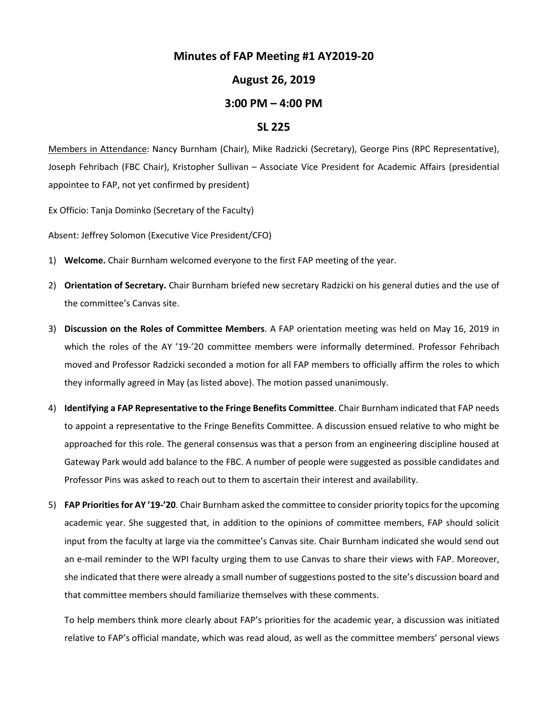## **Minutes of FAP Meeting #1 AY2019-20**

## **August 26, 2019**

## **3:00 PM – 4:00 PM**

## **SL 225**

Members in Attendance: Nancy Burnham (Chair), Mike Radzicki (Secretary), George Pins (RPC Representative), Joseph Fehribach (FBC Chair), Kristopher Sullivan – Associate Vice President for Academic Affairs (presidential appointee to FAP, not yet confirmed by president)

Ex Officio: Tanja Dominko (Secretary of the Faculty)

Absent: Jeffrey Solomon (Executive Vice President/CFO)

- 1) **Welcome.** Chair Burnham welcomed everyone to the first FAP meeting of the year.
- 2) **Orientation of Secretary.** Chair Burnham briefed new secretary Radzicki on his general duties and the use of the committee's Canvas site.
- 3) **Discussion on the Roles of Committee Members**. A FAP orientation meeting was held on May 16, 2019 in which the roles of the AY '19-'20 committee members were informally determined. Professor Fehribach moved and Professor Radzicki seconded a motion for all FAP members to officially affirm the roles to which they informally agreed in May (as listed above). The motion passed unanimously.
- 4) **Identifying a FAP Representative to the Fringe Benefits Committee**. Chair Burnham indicated that FAP needs to appoint a representative to the Fringe Benefits Committee. A discussion ensued relative to who might be approached for this role. The general consensus was that a person from an engineering discipline housed at Gateway Park would add balance to the FBC. A number of people were suggested as possible candidates and Professor Pins was asked to reach out to them to ascertain their interest and availability.
- 5) **FAP Priorities for AY '19-'20**. Chair Burnham asked the committee to consider priority topics for the upcoming academic year. She suggested that, in addition to the opinions of committee members, FAP should solicit input from the faculty at large via the committee's Canvas site. Chair Burnham indicated she would send out an e-mail reminder to the WPI faculty urging them to use Canvas to share their views with FAP. Moreover, she indicated that there were already a small number of suggestions posted to the site's discussion board and that committee members should familiarize themselves with these comments.

To help members think more clearly about FAP's priorities for the academic year, a discussion was initiated relative to FAP's official mandate, which was read aloud, as well as the committee members' personal views